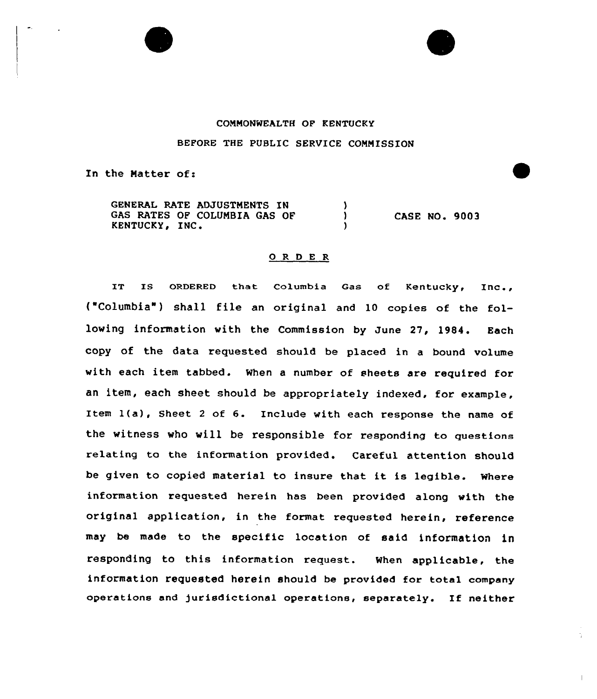

## COMMONWEALTH OP KENTUCKY

## BEFORE THE PUBLIC SERVICE COMMISSION

In the Matter of:

GENERAL RATE ADJUSTMENTS IN GAS RATES OF COLUMBIA GAS OF KENTUCKY, INC. KENTUCKY IN'ASE NO. <sup>9003</sup>

## 0 <sup>R</sup> 0 E R

IT IS ORDERED that Columbia Gas of Kentucky,  $Inc..$ ("Columbia") shall file an original and 10 copies of the following information with the Commission by June 27, 1984. Each copy of the data requested should be placed in a bound volume with each item tabbed. When a number of sheets are required for an item, each sheet should be appropriately indexed, for example, Item 1(a). Sheet <sup>2</sup> of 6. Include with each response the name of the witness who will be responsible for responding to questiona relating to the information provided. Careful attention should be given to copied material to insure that it is legible. Where information requested herein has been provided along with the original application, in the format requested herein, reference may be made to the specific location of said information in responding to this information request. When applicable, the information requested herein should be provided for total company operations and jurisdictional operations, separately. If neither